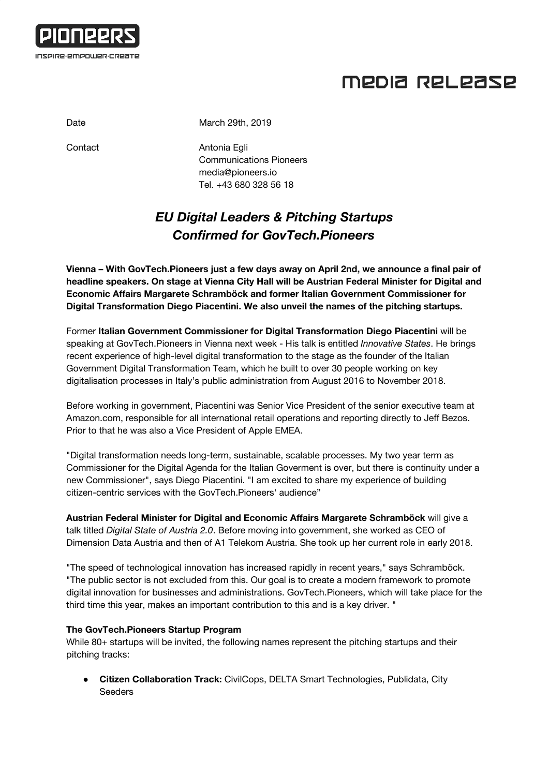

## MEDIA RELEASE

Date March 29th, 2019

Contact **Antonia Egli** Communications Pioneers [media@pioneers.io](mailto:media@pioneers.io) Tel. +43 680 328 56 18

### *EU Digital Leaders & Pitching Startups Confirmed for GovTech.Pioneers*

**Vienna – With GovTech.Pioneers just a few days away on April 2nd, we announce a final pair of headline speakers. On stage at Vienna City Hall will be Austrian Federal Minister for Digital and Economic Affairs Margarete Schramböck and former Italian Government Commissioner for Digital Transformation Diego Piacentini. We also unveil the names of the pitching startups.**

Former **Italian Government Commissioner for Digital Transformation Diego Piacentini** will be speaking at GovTech.Pioneers in Vienna next week - His talk is entitled *Innovative States*. He brings recent experience of high-level digital transformation to the stage as the founder of the Italian Government Digital Transformation Team, which he built to over 30 people working on key digitalisation processes in Italy's public administration from August 2016 to November 2018.

Before working in government, Piacentini was Senior Vice President of the senior executive team at Amazon.com, responsible for all international retail operations and reporting directly to Jeff Bezos. Prior to that he was also a Vice President of Apple EMEA.

"Digital transformation needs long-term, sustainable, scalable processes. My two year term as Commissioner for the Digital Agenda for the Italian Goverment is over, but there is continuity under a new Commissioner", says Diego Piacentini. "I am excited to share my experience of building citizen-centric services with the GovTech.Pioneers' audience"

**Austrian Federal Minister for Digital and Economic Affairs Margarete Schramböck** will give a talk titled *Digital State of Austria 2.0*. Before moving into government, she worked as CEO of Dimension Data Austria and then of A1 Telekom Austria. She took up her current role in early 2018.

"The speed of technological innovation has increased rapidly in recent years," says Schramböck. "The public sector is not excluded from this. Our goal is to create a modern framework to promote digital innovation for businesses and administrations. GovTech.Pioneers, which will take place for the third time this year, makes an important contribution to this and is a key driver. "

### **The GovTech.Pioneers Startup Program**

While 80+ startups will be invited, the following names represent the pitching startups and their pitching tracks:

● **Citizen Collaboration Track:** CivilCops, DELTA Smart Technologies, Publidata, City **Seeders**